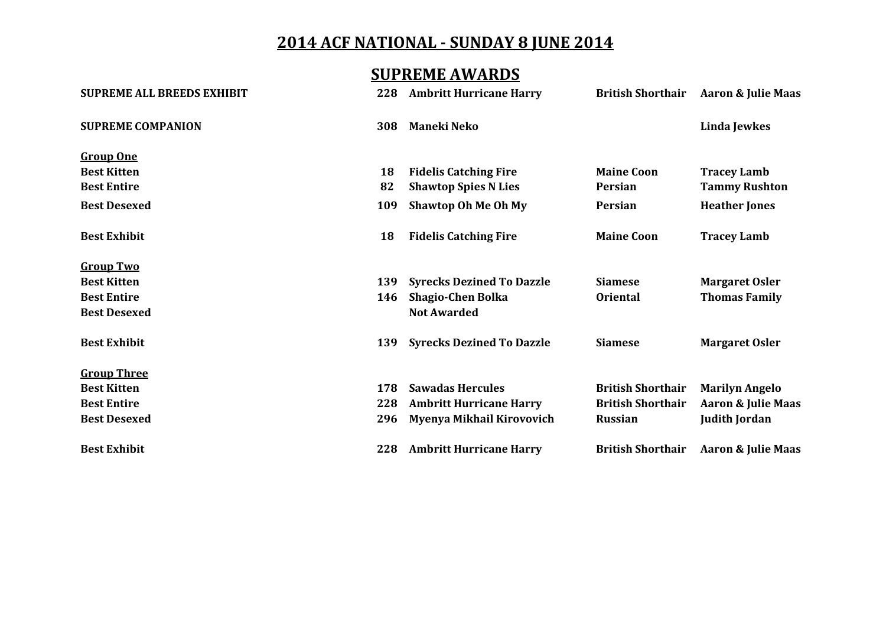#### **SUPREME AWARDS**

| <b>SUPREME ALL BREEDS EXHIBIT</b> | 228 | <b>Ambritt Hurricane Harry</b>   | <b>British Shorthair</b> | Aaron & Julie Maas            |
|-----------------------------------|-----|----------------------------------|--------------------------|-------------------------------|
| <b>SUPREME COMPANION</b>          | 308 | <b>Maneki Neko</b>               |                          | Linda Jewkes                  |
| <b>Group One</b>                  |     |                                  |                          |                               |
| <b>Best Kitten</b>                | 18  | <b>Fidelis Catching Fire</b>     | <b>Maine Coon</b>        | <b>Tracey Lamb</b>            |
| <b>Best Entire</b>                | 82  | <b>Shawtop Spies N Lies</b>      | Persian                  | <b>Tammy Rushton</b>          |
| <b>Best Desexed</b>               | 109 | <b>Shawtop Oh Me Oh My</b>       | Persian                  | <b>Heather Jones</b>          |
| <b>Best Exhibit</b>               | 18  | <b>Fidelis Catching Fire</b>     | <b>Maine Coon</b>        | <b>Tracey Lamb</b>            |
| <b>Group Two</b>                  |     |                                  |                          |                               |
| <b>Best Kitten</b>                | 139 | <b>Syrecks Dezined To Dazzle</b> | <b>Siamese</b>           | <b>Margaret Osler</b>         |
| <b>Best Entire</b>                | 146 | <b>Shagio-Chen Bolka</b>         | <b>Oriental</b>          | <b>Thomas Family</b>          |
| <b>Best Desexed</b>               |     | <b>Not Awarded</b>               |                          |                               |
| <b>Best Exhibit</b>               | 139 | <b>Syrecks Dezined To Dazzle</b> | <b>Siamese</b>           | <b>Margaret Osler</b>         |
| <b>Group Three</b>                |     |                                  |                          |                               |
| <b>Best Kitten</b>                | 178 | <b>Sawadas Hercules</b>          | <b>British Shorthair</b> | <b>Marilyn Angelo</b>         |
| <b>Best Entire</b>                | 228 | <b>Ambritt Hurricane Harry</b>   | <b>British Shorthair</b> | <b>Aaron &amp; Julie Maas</b> |
| <b>Best Desexed</b>               | 296 | Myenya Mikhail Kirovovich        | <b>Russian</b>           | <b>Judith Jordan</b>          |
| <b>Best Exhibit</b>               | 228 | <b>Ambritt Hurricane Harry</b>   | <b>British Shorthair</b> | Aaron & Julie Maas            |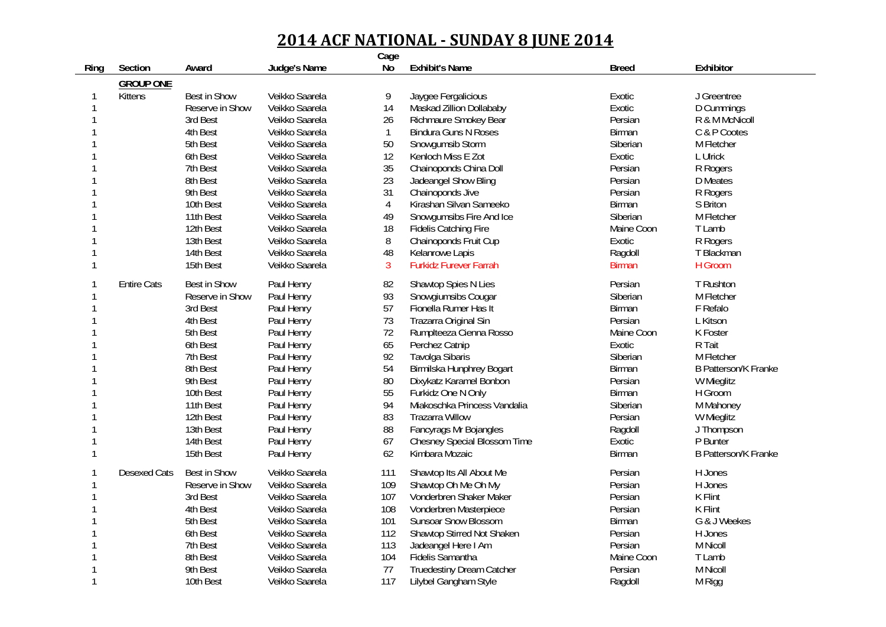|      |                     |                     |                | Cage           |                                     |               |                             |
|------|---------------------|---------------------|----------------|----------------|-------------------------------------|---------------|-----------------------------|
| Ring | Section             | Award               | Judge's Name   | <b>No</b>      | <b>Exhibit's Name</b>               | <b>Breed</b>  | Exhibitor                   |
|      | <b>GROUP ONE</b>    |                     |                |                |                                     |               |                             |
| 1    | Kittens             | Best in Show        | Veikko Saarela | 9              | Jaygee Fergalicious                 | Exotic        | J Greentree                 |
| 1    |                     | Reserve in Show     | Veikko Saarela | 14             | Maskad Zillion Dollababy            | Exotic        | D Cummings                  |
| 1    |                     | 3rd Best            | Veikko Saarela | 26             | Richmaure Smokey Bear               | Persian       | R & M McNicoll              |
| 1    |                     | 4th Best            | Veikko Saarela | $\mathbf{1}$   | <b>Bindura Guns N Roses</b>         | Birman        | C & P Cootes                |
|      |                     | 5th Best            | Veikko Saarela | 50             | Snowgumsib Storm                    | Siberian      | M Fletcher                  |
|      |                     | 6th Best            | Veikko Saarela | 12             | Kenloch Miss E Zot                  | Exotic        | L Ulrick                    |
| 1    |                     | 7th Best            | Veikko Saarela | 35             | Chainoponds China Doll              | Persian       | R Rogers                    |
|      |                     | 8th Best            | Veikko Saarela | 23             | Jadeangel Show Bling                | Persian       | <b>D</b> Meates             |
|      |                     | 9th Best            | Veikko Saarela | 31             | Chainoponds Jive                    | Persian       | R Rogers                    |
|      |                     | 10th Best           | Veikko Saarela | $\overline{4}$ | Kirashan Silvan Sameeko             | Birman        | S Briton                    |
|      |                     | 11th Best           | Veikko Saarela | 49             | Snowgumsibs Fire And Ice            | Siberian      | M Fletcher                  |
| 1    |                     | 12th Best           | Veikko Saarela | 18             | <b>Fidelis Catching Fire</b>        | Maine Coon    | T Lamb                      |
| 1    |                     | 13th Best           | Veikko Saarela | 8              | Chainoponds Fruit Cup               | Exotic        | R Rogers                    |
| 1    |                     | 14th Best           | Veikko Saarela | 48             | Kelanrowe Lapis                     | Ragdoll       | T Blackman                  |
| 1    |                     | 15th Best           | Veikko Saarela | $\mathbf{3}$   | <b>Furkidz Furever Farrah</b>       | <b>Birman</b> | H Groom                     |
| 1    | <b>Entire Cats</b>  | Best in Show        | Paul Henry     | 82             | Shawtop Spies N Lies                | Persian       | T Rushton                   |
| 1    |                     | Reserve in Show     | Paul Henry     | 93             | Snowgiumsibs Cougar                 | Siberian      | M Fletcher                  |
| 1    |                     | 3rd Best            | Paul Henry     | 57             | Fionella Rumer Has It               | Birman        | F Refalo                    |
|      |                     | 4th Best            | Paul Henry     | 73             | Trazarra Original Sin               | Persian       | L Kitson                    |
|      |                     | 5th Best            | Paul Henry     | 72             | Rumplteeza Cienna Rosso             | Maine Coon    | K Foster                    |
|      |                     | 6th Best            | Paul Henry     | 65             | Perchez Catnip                      | Exotic        | R Tait                      |
|      |                     | 7th Best            | Paul Henry     | 92             | <b>Tavolga Sibaris</b>              | Siberian      | M Fletcher                  |
|      |                     | 8th Best            | Paul Henry     | 54             | Birmilska Hunphrey Bogart           | Birman        | <b>B Patterson/K Franke</b> |
|      |                     | 9th Best            | Paul Henry     | 80             | Dixykatz Karamel Bonbon             | Persian       | W Mieglitz                  |
|      |                     | 10th Best           | Paul Henry     | 55             | Furkidz One N Only                  | Birman        | H Groom                     |
|      |                     | 11th Best           | Paul Henry     | 94             | Miakoschka Princess Vandalia        | Siberian      | M Mahoney                   |
|      |                     | 12th Best           | Paul Henry     | 83             | <b>Trazarra Willow</b>              | Persian       | W Mieglitz                  |
| 1    |                     | 13th Best           | Paul Henry     | 88             | Fancyrags Mr Bojangles              | Ragdoll       | J Thompson                  |
| 1    |                     | 14th Best           | Paul Henry     | 67             | <b>Chesney Special Blossom Time</b> | Exotic        | P Bunter                    |
| 1    |                     | 15th Best           | Paul Henry     | 62             | Kimbara Mozaic                      | Birman        | <b>B Patterson/K Franke</b> |
| 1    | <b>Desexed Cats</b> | <b>Best in Show</b> | Veikko Saarela | 111            | Shawtop Its All About Me            | Persian       | H Jones                     |
| 1    |                     | Reserve in Show     | Veikko Saarela | 109            | Shawtop Oh Me Oh My                 | Persian       | H Jones                     |
| 1    |                     | 3rd Best            | Veikko Saarela | 107            | Vonderbren Shaker Maker             | Persian       | K Flint                     |
|      |                     | 4th Best            | Veikko Saarela | 108            | Vonderbren Masterpiece              | Persian       | K Flint                     |
|      |                     | 5th Best            | Veikko Saarela | 101            | <b>Sunsoar Snow Blossom</b>         | <b>Birman</b> | G & J Weekes                |
|      |                     | 6th Best            | Veikko Saarela | 112            | Shawtop Stirred Not Shaken          | Persian       | H Jones                     |
|      |                     | 7th Best            | Veikko Saarela | 113            | Jadeangel Here I Am                 | Persian       | M Nicoll                    |
|      |                     | 8th Best            | Veikko Saarela | 104            | Fidelis Samantha                    | Maine Coon    | T Lamb                      |
|      |                     | 9th Best            | Veikko Saarela | 77             | <b>Truedestiny Dream Catcher</b>    | Persian       | M Nicoll                    |
| 1    |                     | 10th Best           | Veikko Saarela | 117            | Lilybel Gangham Style               | Ragdoll       | M Rigg                      |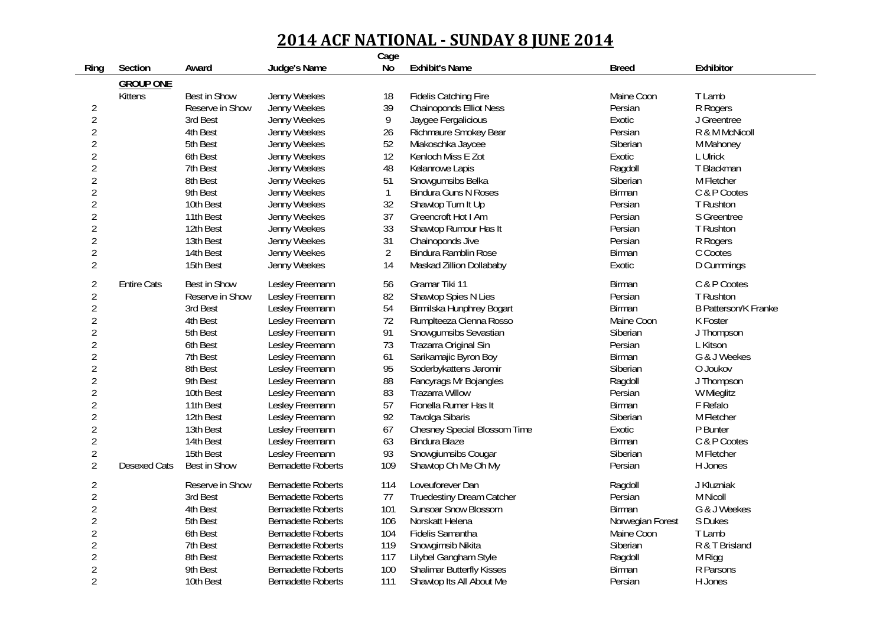|                |                     |                     |                           | Cage           |                                  |                  |                             |
|----------------|---------------------|---------------------|---------------------------|----------------|----------------------------------|------------------|-----------------------------|
| Ring           | Section             | Award               | Judge's Name              | No             | <b>Exhibit's Name</b>            | <b>Breed</b>     | Exhibitor                   |
|                | <b>GROUP ONE</b>    |                     |                           |                |                                  |                  |                             |
|                | Kittens             | Best in Show        | Jenny Weekes              | 18             | <b>Fidelis Catching Fire</b>     | Maine Coon       | T Lamb                      |
| $\overline{2}$ |                     | Reserve in Show     | Jenny Weekes              | 39             | <b>Chainoponds Elliot Ness</b>   | Persian          | R Rogers                    |
| $\overline{2}$ |                     | 3rd Best            | Jenny Weekes              | $\overline{9}$ | Jaygee Fergalicious              | Exotic           | J Greentree                 |
| $\overline{2}$ |                     | 4th Best            | Jenny Weekes              | 26             | Richmaure Smokey Bear            | Persian          | R & M McNicoll              |
| $\overline{2}$ |                     | 5th Best            | Jenny Weekes              | 52             | Miakoschka Jaycee                | Siberian         | M Mahoney                   |
| $\overline{2}$ |                     | 6th Best            | Jenny Weekes              | 12             | Kenloch Miss E Zot               | Exotic           | L Ulrick                    |
| $\overline{2}$ |                     | 7th Best            | Jenny Weekes              | 48             | Kelanrowe Lapis                  | Ragdoll          | T Blackman                  |
| $\overline{2}$ |                     | 8th Best            | Jenny Weekes              | 51             | Snowgumsibs Belka                | Siberian         | M Fletcher                  |
| $\overline{2}$ |                     | 9th Best            | Jenny Weekes              | $\mathbf{1}$   | <b>Bindura Guns N Roses</b>      | <b>Birman</b>    | C & P Cootes                |
| $\overline{2}$ |                     | 10th Best           | Jenny Weekes              | 32             | Shawtop Turn It Up               | Persian          | T Rushton                   |
| $\overline{2}$ |                     | 11th Best           | Jenny Weekes              | 37             | Greencroft Hot I Am              | Persian          | S Greentree                 |
| $\overline{2}$ |                     | 12th Best           | Jenny Weekes              | 33             | Shawtop Rumour Has It            | Persian          | T Rushton                   |
| $\overline{2}$ |                     | 13th Best           | Jenny Weekes              | 31             | Chainoponds Jive                 | Persian          | R Rogers                    |
| $\overline{2}$ |                     | 14th Best           | Jenny Weekes              | $\overline{2}$ | <b>Bindura Ramblin Rose</b>      | <b>Birman</b>    | C Cootes                    |
| $\overline{2}$ |                     | 15th Best           | Jenny Weekes              | 14             | Maskad Zillion Dollababy         | Exotic           | D Cummings                  |
| $\overline{2}$ | <b>Entire Cats</b>  | Best in Show        | Lesley Freemann           | 56             | Gramar Tiki 11                   | Birman           | C & P Cootes                |
| $\overline{2}$ |                     | Reserve in Show     | Lesley Freemann           | 82             | Shawtop Spies N Lies             | Persian          | T Rushton                   |
| $\overline{2}$ |                     | 3rd Best            | Lesley Freemann           | 54             | Birmilska Hunphrey Bogart        | <b>Birman</b>    | <b>B Patterson/K Franke</b> |
| $\overline{2}$ |                     | 4th Best            | Lesley Freemann           | 72             | Rumplteeza Cienna Rosso          | Maine Coon       | K Foster                    |
| $\overline{2}$ |                     | 5th Best            | Lesley Freemann           | 91             | Snowgumsibs Sevastian            | Siberian         | J Thompson                  |
| $\overline{2}$ |                     | 6th Best            | Lesley Freemann           | 73             | Trazarra Original Sin            | Persian          | L Kitson                    |
| $\overline{2}$ |                     | 7th Best            | Lesley Freemann           | 61             | Sarikamajic Byron Boy            | Birman           | G & J Weekes                |
| $\overline{2}$ |                     | 8th Best            | Lesley Freemann           | 95             | Soderbykattens Jaromir           | Siberian         | O Joukov                    |
| $\overline{2}$ |                     | 9th Best            | Lesley Freemann           | 88             | Fancyrags Mr Bojangles           | Ragdoll          | J Thompson                  |
| $\overline{2}$ |                     | 10th Best           | Lesley Freemann           | 83             | <b>Trazarra Willow</b>           | Persian          | W Mieglitz                  |
| $\overline{2}$ |                     | 11th Best           | Lesley Freemann           | 57             | Fionella Rumer Has It            | Birman           | F Refalo                    |
| $\overline{2}$ |                     | 12th Best           | Lesley Freemann           | 92             | <b>Tavolga Sibaris</b>           | Siberian         | M Fletcher                  |
| $\overline{2}$ |                     | 13th Best           | Lesley Freemann           | 67             | Chesney Special Blossom Time     | Exotic           | P Bunter                    |
| $\overline{2}$ |                     | 14th Best           | Lesley Freemann           | 63             | <b>Bindura Blaze</b>             | Birman           | C & P Cootes                |
| $\overline{2}$ |                     | 15th Best           | Lesley Freemann           | 93             | Snowgiumsibs Cougar              | Siberian         | M Fletcher                  |
| $\overline{2}$ | <b>Desexed Cats</b> | <b>Best in Show</b> | <b>Bernadette Roberts</b> | 109            | Shawtop Oh Me Oh My              | Persian          | H Jones                     |
| $\overline{2}$ |                     | Reserve in Show     | <b>Bernadette Roberts</b> | 114            | Loveuforever Dan                 | Ragdoll          | J Kluzniak                  |
| $\overline{2}$ |                     | 3rd Best            | <b>Bernadette Roberts</b> | 77             | <b>Truedestiny Dream Catcher</b> | Persian          | M Nicoll                    |
| $\overline{2}$ |                     | 4th Best            | <b>Bernadette Roberts</b> | 101            | <b>Sunsoar Snow Blossom</b>      | Birman           | G & J Weekes                |
| $\overline{2}$ |                     | 5th Best            | <b>Bernadette Roberts</b> | 106            | Norskatt Helena                  | Norwegian Forest | S Dukes                     |
| $\overline{2}$ |                     | 6th Best            | <b>Bernadette Roberts</b> | 104            | Fidelis Samantha                 | Maine Coon       | T Lamb                      |
| $\overline{2}$ |                     | 7th Best            | <b>Bernadette Roberts</b> | 119            | Snowgimsib Nikita                | Siberian         | R & T Brisland              |
| $\overline{2}$ |                     | 8th Best            | <b>Bernadette Roberts</b> | 117            | Lilybel Gangham Style            | Ragdoll          | M Rigg                      |
| $\overline{2}$ |                     | 9th Best            | <b>Bernadette Roberts</b> | 100            | <b>Shalimar Butterfly Kisses</b> | Birman           | R Parsons                   |
| $\overline{2}$ |                     | 10th Best           | <b>Bernadette Roberts</b> | 111            | Shawtop Its All About Me         | Persian          | H Jones                     |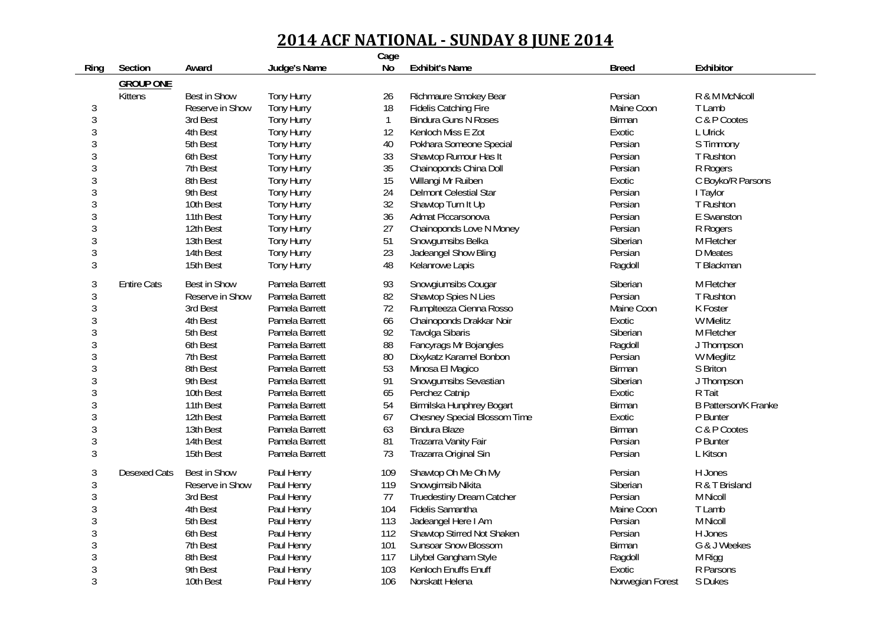| Section<br>No<br><b>Exhibit's Name</b><br>Exhibitor<br>Judge's Name<br><b>Breed</b><br>Ring<br>Award<br><b>GROUP ONE</b><br>Best in Show<br>Tony Hurry<br>Kittens<br>26<br>Richmaure Smokey Bear<br>Persian<br>R & M McNicoll<br>$\mathfrak{Z}$<br>18<br>Reserve in Show<br>Tony Hurry<br><b>Fidelis Catching Fire</b><br>Maine Coon<br>T Lamb<br>3<br><b>Tony Hurry</b><br>$\mathbf{1}$<br>C & P Cootes<br>3rd Best<br><b>Bindura Guns N Roses</b><br>Birman<br>3<br>12<br>4th Best<br><b>Tony Hurry</b><br>Kenloch Miss E Zot<br>Exotic<br>L Ulrick<br>3<br>5th Best<br>40<br>S Timmony<br>Tony Hurry<br>Pokhara Someone Special<br>Persian<br>3<br>33<br>6th Best<br><b>Tony Hurry</b><br>Shawtop Rumour Has It<br>Persian<br>T Rushton<br>3<br>35<br>7th Best<br><b>Tony Hurry</b><br>Chainoponds China Doll<br>Persian<br>R Rogers<br>3<br>15<br>8th Best<br><b>Tony Hurry</b><br>Willangi Mr Ruiben<br>Exotic<br>C Boyko/R Parsons<br>3<br>24<br>9th Best<br>Tony Hurry<br>Delmont Celestial Star<br>Persian<br>I Taylor<br>3<br>32<br>10th Best<br><b>Tony Hurry</b><br>Shawtop Turn It Up<br>Persian<br>T Rushton<br>3<br>36<br>11th Best<br>Tony Hurry<br>Admat Piccarsonova<br>Persian<br>E Swanston<br>3<br>Tony Hurry<br>27<br>12th Best<br>Chainoponds Love N Money<br>Persian<br>R Rogers<br>3<br>51<br>13th Best<br><b>Tony Hurry</b><br>Snowgumsibs Belka<br>Siberian<br>M Fletcher<br>3<br>23<br>14th Best<br>Tony Hurry<br>Persian<br>Jadeangel Show Bling<br>D Meates<br>$\mathfrak{Z}$<br>48<br>15th Best<br>Kelanrowe Lapis<br>T Blackman<br><b>Tony Hurry</b><br>Ragdoll<br><b>Best in Show</b><br>3<br>Pamela Barrett<br>93<br>Siberian<br>M Fletcher<br><b>Entire Cats</b><br>Snowgiumsibs Cougar<br>3<br>82<br>Reserve in Show<br>Pamela Barrett<br>Shawtop Spies N Lies<br>Persian<br>T Rushton<br>$\mathfrak{Z}$<br>72<br>3rd Best<br>Pamela Barrett<br>Rumplteeza Cienna Rosso<br>Maine Coon<br>K Foster<br>3<br>4th Best<br>66<br>Chainoponds Drakkar Noir<br>W Mielitz<br>Pamela Barrett<br>Exotic<br>3<br>92<br>5th Best<br>Pamela Barrett<br>Tavolga Sibaris<br>Siberian<br>M Fletcher<br>3<br>88<br>6th Best<br>Pamela Barrett<br>Fancyrags Mr Bojangles<br>Ragdoll<br>J Thompson<br>3<br>80<br>7th Best<br>Pamela Barrett<br>Dixykatz Karamel Bonbon<br>Persian<br>W Mieglitz<br>3<br>53<br>8th Best<br>Pamela Barrett<br>Minosa El Magico<br>Birman<br>S Briton<br>3<br>91<br>9th Best<br>Pamela Barrett<br>Snowgumsibs Sevastian<br>Siberian<br>J Thompson<br>3<br>65<br>10th Best<br>Perchez Catnip<br>R Tait<br>Pamela Barrett<br>Exotic<br>3<br>54<br>11th Best<br>Birmilska Hunphrey Bogart<br>Pamela Barrett<br>Birman<br><b>B Patterson/K Franke</b><br>3<br>67<br>12th Best<br>Pamela Barrett<br>Chesney Special Blossom Time<br>Exotic<br>P Bunter<br>3<br>63<br>13th Best<br>Pamela Barrett<br><b>Bindura Blaze</b><br><b>Birman</b><br>C & P Cootes<br>3<br>14th Best<br>Pamela Barrett<br>81<br>P Bunter<br>Trazarra Vanity Fair<br>Persian<br>3<br>73<br>15th Best<br>Pamela Barrett<br>Trazarra Original Sin<br>Persian<br>L Kitson<br>3<br><b>Best in Show</b><br>109<br>H Jones<br><b>Desexed Cats</b><br>Paul Henry<br>Shawtop Oh Me Oh My<br>Persian<br>3<br>119<br>Reserve in Show<br>Paul Henry<br>Snowgimsib Nikita<br>Siberian<br>R & T Brisland<br>$\mathfrak{Z}$<br>77<br><b>Truedestiny Dream Catcher</b><br>Persian<br>3rd Best<br>Paul Henry<br>M Nicoll<br>3<br>104<br>Fidelis Samantha<br>Maine Coon<br>4th Best<br>Paul Henry<br>T Lamb<br>3<br>5th Best<br>Paul Henry<br>113<br>M Nicoll<br>Jadeangel Here I Am<br>Persian<br>3<br>112<br>6th Best<br>Paul Henry<br>Shawtop Stirred Not Shaken<br>Persian<br>H Jones<br>3<br>101<br>Sunsoar Snow Blossom<br>G & J Weekes<br>7th Best<br>Paul Henry<br>Birman<br>3<br>117<br>8th Best<br>Paul Henry<br>Lilybel Gangham Style<br>M Rigg<br>Ragdoll<br>3<br>103<br>R Parsons<br>9th Best<br>Kenloch Enuffs Enuff<br>Exotic<br>Paul Henry<br>3 |  |           |            | Cage |                 |                  |         |
|--------------------------------------------------------------------------------------------------------------------------------------------------------------------------------------------------------------------------------------------------------------------------------------------------------------------------------------------------------------------------------------------------------------------------------------------------------------------------------------------------------------------------------------------------------------------------------------------------------------------------------------------------------------------------------------------------------------------------------------------------------------------------------------------------------------------------------------------------------------------------------------------------------------------------------------------------------------------------------------------------------------------------------------------------------------------------------------------------------------------------------------------------------------------------------------------------------------------------------------------------------------------------------------------------------------------------------------------------------------------------------------------------------------------------------------------------------------------------------------------------------------------------------------------------------------------------------------------------------------------------------------------------------------------------------------------------------------------------------------------------------------------------------------------------------------------------------------------------------------------------------------------------------------------------------------------------------------------------------------------------------------------------------------------------------------------------------------------------------------------------------------------------------------------------------------------------------------------------------------------------------------------------------------------------------------------------------------------------------------------------------------------------------------------------------------------------------------------------------------------------------------------------------------------------------------------------------------------------------------------------------------------------------------------------------------------------------------------------------------------------------------------------------------------------------------------------------------------------------------------------------------------------------------------------------------------------------------------------------------------------------------------------------------------------------------------------------------------------------------------------------------------------------------------------------------------------------------------------------------------------------------------------------------------------------------------------------------------------------------------------------------------------------------------------------------------------------------------------------------------------------------------------------------------------------------------------------------------------------------------------------------------------------------------------------------------------------------------------------------------------------------------------------------------------------------------------------------------------------------------------------------------------------------------------------------------------------------|--|-----------|------------|------|-----------------|------------------|---------|
|                                                                                                                                                                                                                                                                                                                                                                                                                                                                                                                                                                                                                                                                                                                                                                                                                                                                                                                                                                                                                                                                                                                                                                                                                                                                                                                                                                                                                                                                                                                                                                                                                                                                                                                                                                                                                                                                                                                                                                                                                                                                                                                                                                                                                                                                                                                                                                                                                                                                                                                                                                                                                                                                                                                                                                                                                                                                                                                                                                                                                                                                                                                                                                                                                                                                                                                                                                                                                                                                                                                                                                                                                                                                                                                                                                                                                                                                                                                                                              |  |           |            |      |                 |                  |         |
|                                                                                                                                                                                                                                                                                                                                                                                                                                                                                                                                                                                                                                                                                                                                                                                                                                                                                                                                                                                                                                                                                                                                                                                                                                                                                                                                                                                                                                                                                                                                                                                                                                                                                                                                                                                                                                                                                                                                                                                                                                                                                                                                                                                                                                                                                                                                                                                                                                                                                                                                                                                                                                                                                                                                                                                                                                                                                                                                                                                                                                                                                                                                                                                                                                                                                                                                                                                                                                                                                                                                                                                                                                                                                                                                                                                                                                                                                                                                                              |  |           |            |      |                 |                  |         |
|                                                                                                                                                                                                                                                                                                                                                                                                                                                                                                                                                                                                                                                                                                                                                                                                                                                                                                                                                                                                                                                                                                                                                                                                                                                                                                                                                                                                                                                                                                                                                                                                                                                                                                                                                                                                                                                                                                                                                                                                                                                                                                                                                                                                                                                                                                                                                                                                                                                                                                                                                                                                                                                                                                                                                                                                                                                                                                                                                                                                                                                                                                                                                                                                                                                                                                                                                                                                                                                                                                                                                                                                                                                                                                                                                                                                                                                                                                                                                              |  |           |            |      |                 |                  |         |
|                                                                                                                                                                                                                                                                                                                                                                                                                                                                                                                                                                                                                                                                                                                                                                                                                                                                                                                                                                                                                                                                                                                                                                                                                                                                                                                                                                                                                                                                                                                                                                                                                                                                                                                                                                                                                                                                                                                                                                                                                                                                                                                                                                                                                                                                                                                                                                                                                                                                                                                                                                                                                                                                                                                                                                                                                                                                                                                                                                                                                                                                                                                                                                                                                                                                                                                                                                                                                                                                                                                                                                                                                                                                                                                                                                                                                                                                                                                                                              |  |           |            |      |                 |                  |         |
|                                                                                                                                                                                                                                                                                                                                                                                                                                                                                                                                                                                                                                                                                                                                                                                                                                                                                                                                                                                                                                                                                                                                                                                                                                                                                                                                                                                                                                                                                                                                                                                                                                                                                                                                                                                                                                                                                                                                                                                                                                                                                                                                                                                                                                                                                                                                                                                                                                                                                                                                                                                                                                                                                                                                                                                                                                                                                                                                                                                                                                                                                                                                                                                                                                                                                                                                                                                                                                                                                                                                                                                                                                                                                                                                                                                                                                                                                                                                                              |  |           |            |      |                 |                  |         |
|                                                                                                                                                                                                                                                                                                                                                                                                                                                                                                                                                                                                                                                                                                                                                                                                                                                                                                                                                                                                                                                                                                                                                                                                                                                                                                                                                                                                                                                                                                                                                                                                                                                                                                                                                                                                                                                                                                                                                                                                                                                                                                                                                                                                                                                                                                                                                                                                                                                                                                                                                                                                                                                                                                                                                                                                                                                                                                                                                                                                                                                                                                                                                                                                                                                                                                                                                                                                                                                                                                                                                                                                                                                                                                                                                                                                                                                                                                                                                              |  |           |            |      |                 |                  |         |
|                                                                                                                                                                                                                                                                                                                                                                                                                                                                                                                                                                                                                                                                                                                                                                                                                                                                                                                                                                                                                                                                                                                                                                                                                                                                                                                                                                                                                                                                                                                                                                                                                                                                                                                                                                                                                                                                                                                                                                                                                                                                                                                                                                                                                                                                                                                                                                                                                                                                                                                                                                                                                                                                                                                                                                                                                                                                                                                                                                                                                                                                                                                                                                                                                                                                                                                                                                                                                                                                                                                                                                                                                                                                                                                                                                                                                                                                                                                                                              |  |           |            |      |                 |                  |         |
|                                                                                                                                                                                                                                                                                                                                                                                                                                                                                                                                                                                                                                                                                                                                                                                                                                                                                                                                                                                                                                                                                                                                                                                                                                                                                                                                                                                                                                                                                                                                                                                                                                                                                                                                                                                                                                                                                                                                                                                                                                                                                                                                                                                                                                                                                                                                                                                                                                                                                                                                                                                                                                                                                                                                                                                                                                                                                                                                                                                                                                                                                                                                                                                                                                                                                                                                                                                                                                                                                                                                                                                                                                                                                                                                                                                                                                                                                                                                                              |  |           |            |      |                 |                  |         |
|                                                                                                                                                                                                                                                                                                                                                                                                                                                                                                                                                                                                                                                                                                                                                                                                                                                                                                                                                                                                                                                                                                                                                                                                                                                                                                                                                                                                                                                                                                                                                                                                                                                                                                                                                                                                                                                                                                                                                                                                                                                                                                                                                                                                                                                                                                                                                                                                                                                                                                                                                                                                                                                                                                                                                                                                                                                                                                                                                                                                                                                                                                                                                                                                                                                                                                                                                                                                                                                                                                                                                                                                                                                                                                                                                                                                                                                                                                                                                              |  |           |            |      |                 |                  |         |
|                                                                                                                                                                                                                                                                                                                                                                                                                                                                                                                                                                                                                                                                                                                                                                                                                                                                                                                                                                                                                                                                                                                                                                                                                                                                                                                                                                                                                                                                                                                                                                                                                                                                                                                                                                                                                                                                                                                                                                                                                                                                                                                                                                                                                                                                                                                                                                                                                                                                                                                                                                                                                                                                                                                                                                                                                                                                                                                                                                                                                                                                                                                                                                                                                                                                                                                                                                                                                                                                                                                                                                                                                                                                                                                                                                                                                                                                                                                                                              |  |           |            |      |                 |                  |         |
|                                                                                                                                                                                                                                                                                                                                                                                                                                                                                                                                                                                                                                                                                                                                                                                                                                                                                                                                                                                                                                                                                                                                                                                                                                                                                                                                                                                                                                                                                                                                                                                                                                                                                                                                                                                                                                                                                                                                                                                                                                                                                                                                                                                                                                                                                                                                                                                                                                                                                                                                                                                                                                                                                                                                                                                                                                                                                                                                                                                                                                                                                                                                                                                                                                                                                                                                                                                                                                                                                                                                                                                                                                                                                                                                                                                                                                                                                                                                                              |  |           |            |      |                 |                  |         |
|                                                                                                                                                                                                                                                                                                                                                                                                                                                                                                                                                                                                                                                                                                                                                                                                                                                                                                                                                                                                                                                                                                                                                                                                                                                                                                                                                                                                                                                                                                                                                                                                                                                                                                                                                                                                                                                                                                                                                                                                                                                                                                                                                                                                                                                                                                                                                                                                                                                                                                                                                                                                                                                                                                                                                                                                                                                                                                                                                                                                                                                                                                                                                                                                                                                                                                                                                                                                                                                                                                                                                                                                                                                                                                                                                                                                                                                                                                                                                              |  |           |            |      |                 |                  |         |
|                                                                                                                                                                                                                                                                                                                                                                                                                                                                                                                                                                                                                                                                                                                                                                                                                                                                                                                                                                                                                                                                                                                                                                                                                                                                                                                                                                                                                                                                                                                                                                                                                                                                                                                                                                                                                                                                                                                                                                                                                                                                                                                                                                                                                                                                                                                                                                                                                                                                                                                                                                                                                                                                                                                                                                                                                                                                                                                                                                                                                                                                                                                                                                                                                                                                                                                                                                                                                                                                                                                                                                                                                                                                                                                                                                                                                                                                                                                                                              |  |           |            |      |                 |                  |         |
|                                                                                                                                                                                                                                                                                                                                                                                                                                                                                                                                                                                                                                                                                                                                                                                                                                                                                                                                                                                                                                                                                                                                                                                                                                                                                                                                                                                                                                                                                                                                                                                                                                                                                                                                                                                                                                                                                                                                                                                                                                                                                                                                                                                                                                                                                                                                                                                                                                                                                                                                                                                                                                                                                                                                                                                                                                                                                                                                                                                                                                                                                                                                                                                                                                                                                                                                                                                                                                                                                                                                                                                                                                                                                                                                                                                                                                                                                                                                                              |  |           |            |      |                 |                  |         |
|                                                                                                                                                                                                                                                                                                                                                                                                                                                                                                                                                                                                                                                                                                                                                                                                                                                                                                                                                                                                                                                                                                                                                                                                                                                                                                                                                                                                                                                                                                                                                                                                                                                                                                                                                                                                                                                                                                                                                                                                                                                                                                                                                                                                                                                                                                                                                                                                                                                                                                                                                                                                                                                                                                                                                                                                                                                                                                                                                                                                                                                                                                                                                                                                                                                                                                                                                                                                                                                                                                                                                                                                                                                                                                                                                                                                                                                                                                                                                              |  |           |            |      |                 |                  |         |
|                                                                                                                                                                                                                                                                                                                                                                                                                                                                                                                                                                                                                                                                                                                                                                                                                                                                                                                                                                                                                                                                                                                                                                                                                                                                                                                                                                                                                                                                                                                                                                                                                                                                                                                                                                                                                                                                                                                                                                                                                                                                                                                                                                                                                                                                                                                                                                                                                                                                                                                                                                                                                                                                                                                                                                                                                                                                                                                                                                                                                                                                                                                                                                                                                                                                                                                                                                                                                                                                                                                                                                                                                                                                                                                                                                                                                                                                                                                                                              |  |           |            |      |                 |                  |         |
|                                                                                                                                                                                                                                                                                                                                                                                                                                                                                                                                                                                                                                                                                                                                                                                                                                                                                                                                                                                                                                                                                                                                                                                                                                                                                                                                                                                                                                                                                                                                                                                                                                                                                                                                                                                                                                                                                                                                                                                                                                                                                                                                                                                                                                                                                                                                                                                                                                                                                                                                                                                                                                                                                                                                                                                                                                                                                                                                                                                                                                                                                                                                                                                                                                                                                                                                                                                                                                                                                                                                                                                                                                                                                                                                                                                                                                                                                                                                                              |  |           |            |      |                 |                  |         |
|                                                                                                                                                                                                                                                                                                                                                                                                                                                                                                                                                                                                                                                                                                                                                                                                                                                                                                                                                                                                                                                                                                                                                                                                                                                                                                                                                                                                                                                                                                                                                                                                                                                                                                                                                                                                                                                                                                                                                                                                                                                                                                                                                                                                                                                                                                                                                                                                                                                                                                                                                                                                                                                                                                                                                                                                                                                                                                                                                                                                                                                                                                                                                                                                                                                                                                                                                                                                                                                                                                                                                                                                                                                                                                                                                                                                                                                                                                                                                              |  |           |            |      |                 |                  |         |
|                                                                                                                                                                                                                                                                                                                                                                                                                                                                                                                                                                                                                                                                                                                                                                                                                                                                                                                                                                                                                                                                                                                                                                                                                                                                                                                                                                                                                                                                                                                                                                                                                                                                                                                                                                                                                                                                                                                                                                                                                                                                                                                                                                                                                                                                                                                                                                                                                                                                                                                                                                                                                                                                                                                                                                                                                                                                                                                                                                                                                                                                                                                                                                                                                                                                                                                                                                                                                                                                                                                                                                                                                                                                                                                                                                                                                                                                                                                                                              |  |           |            |      |                 |                  |         |
|                                                                                                                                                                                                                                                                                                                                                                                                                                                                                                                                                                                                                                                                                                                                                                                                                                                                                                                                                                                                                                                                                                                                                                                                                                                                                                                                                                                                                                                                                                                                                                                                                                                                                                                                                                                                                                                                                                                                                                                                                                                                                                                                                                                                                                                                                                                                                                                                                                                                                                                                                                                                                                                                                                                                                                                                                                                                                                                                                                                                                                                                                                                                                                                                                                                                                                                                                                                                                                                                                                                                                                                                                                                                                                                                                                                                                                                                                                                                                              |  |           |            |      |                 |                  |         |
|                                                                                                                                                                                                                                                                                                                                                                                                                                                                                                                                                                                                                                                                                                                                                                                                                                                                                                                                                                                                                                                                                                                                                                                                                                                                                                                                                                                                                                                                                                                                                                                                                                                                                                                                                                                                                                                                                                                                                                                                                                                                                                                                                                                                                                                                                                                                                                                                                                                                                                                                                                                                                                                                                                                                                                                                                                                                                                                                                                                                                                                                                                                                                                                                                                                                                                                                                                                                                                                                                                                                                                                                                                                                                                                                                                                                                                                                                                                                                              |  |           |            |      |                 |                  |         |
|                                                                                                                                                                                                                                                                                                                                                                                                                                                                                                                                                                                                                                                                                                                                                                                                                                                                                                                                                                                                                                                                                                                                                                                                                                                                                                                                                                                                                                                                                                                                                                                                                                                                                                                                                                                                                                                                                                                                                                                                                                                                                                                                                                                                                                                                                                                                                                                                                                                                                                                                                                                                                                                                                                                                                                                                                                                                                                                                                                                                                                                                                                                                                                                                                                                                                                                                                                                                                                                                                                                                                                                                                                                                                                                                                                                                                                                                                                                                                              |  |           |            |      |                 |                  |         |
|                                                                                                                                                                                                                                                                                                                                                                                                                                                                                                                                                                                                                                                                                                                                                                                                                                                                                                                                                                                                                                                                                                                                                                                                                                                                                                                                                                                                                                                                                                                                                                                                                                                                                                                                                                                                                                                                                                                                                                                                                                                                                                                                                                                                                                                                                                                                                                                                                                                                                                                                                                                                                                                                                                                                                                                                                                                                                                                                                                                                                                                                                                                                                                                                                                                                                                                                                                                                                                                                                                                                                                                                                                                                                                                                                                                                                                                                                                                                                              |  |           |            |      |                 |                  |         |
|                                                                                                                                                                                                                                                                                                                                                                                                                                                                                                                                                                                                                                                                                                                                                                                                                                                                                                                                                                                                                                                                                                                                                                                                                                                                                                                                                                                                                                                                                                                                                                                                                                                                                                                                                                                                                                                                                                                                                                                                                                                                                                                                                                                                                                                                                                                                                                                                                                                                                                                                                                                                                                                                                                                                                                                                                                                                                                                                                                                                                                                                                                                                                                                                                                                                                                                                                                                                                                                                                                                                                                                                                                                                                                                                                                                                                                                                                                                                                              |  |           |            |      |                 |                  |         |
|                                                                                                                                                                                                                                                                                                                                                                                                                                                                                                                                                                                                                                                                                                                                                                                                                                                                                                                                                                                                                                                                                                                                                                                                                                                                                                                                                                                                                                                                                                                                                                                                                                                                                                                                                                                                                                                                                                                                                                                                                                                                                                                                                                                                                                                                                                                                                                                                                                                                                                                                                                                                                                                                                                                                                                                                                                                                                                                                                                                                                                                                                                                                                                                                                                                                                                                                                                                                                                                                                                                                                                                                                                                                                                                                                                                                                                                                                                                                                              |  |           |            |      |                 |                  |         |
|                                                                                                                                                                                                                                                                                                                                                                                                                                                                                                                                                                                                                                                                                                                                                                                                                                                                                                                                                                                                                                                                                                                                                                                                                                                                                                                                                                                                                                                                                                                                                                                                                                                                                                                                                                                                                                                                                                                                                                                                                                                                                                                                                                                                                                                                                                                                                                                                                                                                                                                                                                                                                                                                                                                                                                                                                                                                                                                                                                                                                                                                                                                                                                                                                                                                                                                                                                                                                                                                                                                                                                                                                                                                                                                                                                                                                                                                                                                                                              |  |           |            |      |                 |                  |         |
|                                                                                                                                                                                                                                                                                                                                                                                                                                                                                                                                                                                                                                                                                                                                                                                                                                                                                                                                                                                                                                                                                                                                                                                                                                                                                                                                                                                                                                                                                                                                                                                                                                                                                                                                                                                                                                                                                                                                                                                                                                                                                                                                                                                                                                                                                                                                                                                                                                                                                                                                                                                                                                                                                                                                                                                                                                                                                                                                                                                                                                                                                                                                                                                                                                                                                                                                                                                                                                                                                                                                                                                                                                                                                                                                                                                                                                                                                                                                                              |  |           |            |      |                 |                  |         |
|                                                                                                                                                                                                                                                                                                                                                                                                                                                                                                                                                                                                                                                                                                                                                                                                                                                                                                                                                                                                                                                                                                                                                                                                                                                                                                                                                                                                                                                                                                                                                                                                                                                                                                                                                                                                                                                                                                                                                                                                                                                                                                                                                                                                                                                                                                                                                                                                                                                                                                                                                                                                                                                                                                                                                                                                                                                                                                                                                                                                                                                                                                                                                                                                                                                                                                                                                                                                                                                                                                                                                                                                                                                                                                                                                                                                                                                                                                                                                              |  |           |            |      |                 |                  |         |
|                                                                                                                                                                                                                                                                                                                                                                                                                                                                                                                                                                                                                                                                                                                                                                                                                                                                                                                                                                                                                                                                                                                                                                                                                                                                                                                                                                                                                                                                                                                                                                                                                                                                                                                                                                                                                                                                                                                                                                                                                                                                                                                                                                                                                                                                                                                                                                                                                                                                                                                                                                                                                                                                                                                                                                                                                                                                                                                                                                                                                                                                                                                                                                                                                                                                                                                                                                                                                                                                                                                                                                                                                                                                                                                                                                                                                                                                                                                                                              |  |           |            |      |                 |                  |         |
|                                                                                                                                                                                                                                                                                                                                                                                                                                                                                                                                                                                                                                                                                                                                                                                                                                                                                                                                                                                                                                                                                                                                                                                                                                                                                                                                                                                                                                                                                                                                                                                                                                                                                                                                                                                                                                                                                                                                                                                                                                                                                                                                                                                                                                                                                                                                                                                                                                                                                                                                                                                                                                                                                                                                                                                                                                                                                                                                                                                                                                                                                                                                                                                                                                                                                                                                                                                                                                                                                                                                                                                                                                                                                                                                                                                                                                                                                                                                                              |  |           |            |      |                 |                  |         |
|                                                                                                                                                                                                                                                                                                                                                                                                                                                                                                                                                                                                                                                                                                                                                                                                                                                                                                                                                                                                                                                                                                                                                                                                                                                                                                                                                                                                                                                                                                                                                                                                                                                                                                                                                                                                                                                                                                                                                                                                                                                                                                                                                                                                                                                                                                                                                                                                                                                                                                                                                                                                                                                                                                                                                                                                                                                                                                                                                                                                                                                                                                                                                                                                                                                                                                                                                                                                                                                                                                                                                                                                                                                                                                                                                                                                                                                                                                                                                              |  |           |            |      |                 |                  |         |
|                                                                                                                                                                                                                                                                                                                                                                                                                                                                                                                                                                                                                                                                                                                                                                                                                                                                                                                                                                                                                                                                                                                                                                                                                                                                                                                                                                                                                                                                                                                                                                                                                                                                                                                                                                                                                                                                                                                                                                                                                                                                                                                                                                                                                                                                                                                                                                                                                                                                                                                                                                                                                                                                                                                                                                                                                                                                                                                                                                                                                                                                                                                                                                                                                                                                                                                                                                                                                                                                                                                                                                                                                                                                                                                                                                                                                                                                                                                                                              |  |           |            |      |                 |                  |         |
|                                                                                                                                                                                                                                                                                                                                                                                                                                                                                                                                                                                                                                                                                                                                                                                                                                                                                                                                                                                                                                                                                                                                                                                                                                                                                                                                                                                                                                                                                                                                                                                                                                                                                                                                                                                                                                                                                                                                                                                                                                                                                                                                                                                                                                                                                                                                                                                                                                                                                                                                                                                                                                                                                                                                                                                                                                                                                                                                                                                                                                                                                                                                                                                                                                                                                                                                                                                                                                                                                                                                                                                                                                                                                                                                                                                                                                                                                                                                                              |  |           |            |      |                 |                  |         |
|                                                                                                                                                                                                                                                                                                                                                                                                                                                                                                                                                                                                                                                                                                                                                                                                                                                                                                                                                                                                                                                                                                                                                                                                                                                                                                                                                                                                                                                                                                                                                                                                                                                                                                                                                                                                                                                                                                                                                                                                                                                                                                                                                                                                                                                                                                                                                                                                                                                                                                                                                                                                                                                                                                                                                                                                                                                                                                                                                                                                                                                                                                                                                                                                                                                                                                                                                                                                                                                                                                                                                                                                                                                                                                                                                                                                                                                                                                                                                              |  |           |            |      |                 |                  |         |
|                                                                                                                                                                                                                                                                                                                                                                                                                                                                                                                                                                                                                                                                                                                                                                                                                                                                                                                                                                                                                                                                                                                                                                                                                                                                                                                                                                                                                                                                                                                                                                                                                                                                                                                                                                                                                                                                                                                                                                                                                                                                                                                                                                                                                                                                                                                                                                                                                                                                                                                                                                                                                                                                                                                                                                                                                                                                                                                                                                                                                                                                                                                                                                                                                                                                                                                                                                                                                                                                                                                                                                                                                                                                                                                                                                                                                                                                                                                                                              |  |           |            |      |                 |                  |         |
|                                                                                                                                                                                                                                                                                                                                                                                                                                                                                                                                                                                                                                                                                                                                                                                                                                                                                                                                                                                                                                                                                                                                                                                                                                                                                                                                                                                                                                                                                                                                                                                                                                                                                                                                                                                                                                                                                                                                                                                                                                                                                                                                                                                                                                                                                                                                                                                                                                                                                                                                                                                                                                                                                                                                                                                                                                                                                                                                                                                                                                                                                                                                                                                                                                                                                                                                                                                                                                                                                                                                                                                                                                                                                                                                                                                                                                                                                                                                                              |  |           |            |      |                 |                  |         |
|                                                                                                                                                                                                                                                                                                                                                                                                                                                                                                                                                                                                                                                                                                                                                                                                                                                                                                                                                                                                                                                                                                                                                                                                                                                                                                                                                                                                                                                                                                                                                                                                                                                                                                                                                                                                                                                                                                                                                                                                                                                                                                                                                                                                                                                                                                                                                                                                                                                                                                                                                                                                                                                                                                                                                                                                                                                                                                                                                                                                                                                                                                                                                                                                                                                                                                                                                                                                                                                                                                                                                                                                                                                                                                                                                                                                                                                                                                                                                              |  |           |            |      |                 |                  |         |
|                                                                                                                                                                                                                                                                                                                                                                                                                                                                                                                                                                                                                                                                                                                                                                                                                                                                                                                                                                                                                                                                                                                                                                                                                                                                                                                                                                                                                                                                                                                                                                                                                                                                                                                                                                                                                                                                                                                                                                                                                                                                                                                                                                                                                                                                                                                                                                                                                                                                                                                                                                                                                                                                                                                                                                                                                                                                                                                                                                                                                                                                                                                                                                                                                                                                                                                                                                                                                                                                                                                                                                                                                                                                                                                                                                                                                                                                                                                                                              |  |           |            |      |                 |                  |         |
|                                                                                                                                                                                                                                                                                                                                                                                                                                                                                                                                                                                                                                                                                                                                                                                                                                                                                                                                                                                                                                                                                                                                                                                                                                                                                                                                                                                                                                                                                                                                                                                                                                                                                                                                                                                                                                                                                                                                                                                                                                                                                                                                                                                                                                                                                                                                                                                                                                                                                                                                                                                                                                                                                                                                                                                                                                                                                                                                                                                                                                                                                                                                                                                                                                                                                                                                                                                                                                                                                                                                                                                                                                                                                                                                                                                                                                                                                                                                                              |  |           |            |      |                 |                  |         |
|                                                                                                                                                                                                                                                                                                                                                                                                                                                                                                                                                                                                                                                                                                                                                                                                                                                                                                                                                                                                                                                                                                                                                                                                                                                                                                                                                                                                                                                                                                                                                                                                                                                                                                                                                                                                                                                                                                                                                                                                                                                                                                                                                                                                                                                                                                                                                                                                                                                                                                                                                                                                                                                                                                                                                                                                                                                                                                                                                                                                                                                                                                                                                                                                                                                                                                                                                                                                                                                                                                                                                                                                                                                                                                                                                                                                                                                                                                                                                              |  |           |            |      |                 |                  |         |
|                                                                                                                                                                                                                                                                                                                                                                                                                                                                                                                                                                                                                                                                                                                                                                                                                                                                                                                                                                                                                                                                                                                                                                                                                                                                                                                                                                                                                                                                                                                                                                                                                                                                                                                                                                                                                                                                                                                                                                                                                                                                                                                                                                                                                                                                                                                                                                                                                                                                                                                                                                                                                                                                                                                                                                                                                                                                                                                                                                                                                                                                                                                                                                                                                                                                                                                                                                                                                                                                                                                                                                                                                                                                                                                                                                                                                                                                                                                                                              |  |           |            |      |                 |                  |         |
|                                                                                                                                                                                                                                                                                                                                                                                                                                                                                                                                                                                                                                                                                                                                                                                                                                                                                                                                                                                                                                                                                                                                                                                                                                                                                                                                                                                                                                                                                                                                                                                                                                                                                                                                                                                                                                                                                                                                                                                                                                                                                                                                                                                                                                                                                                                                                                                                                                                                                                                                                                                                                                                                                                                                                                                                                                                                                                                                                                                                                                                                                                                                                                                                                                                                                                                                                                                                                                                                                                                                                                                                                                                                                                                                                                                                                                                                                                                                                              |  | 10th Best | Paul Henry | 106  | Norskatt Helena | Norwegian Forest | S Dukes |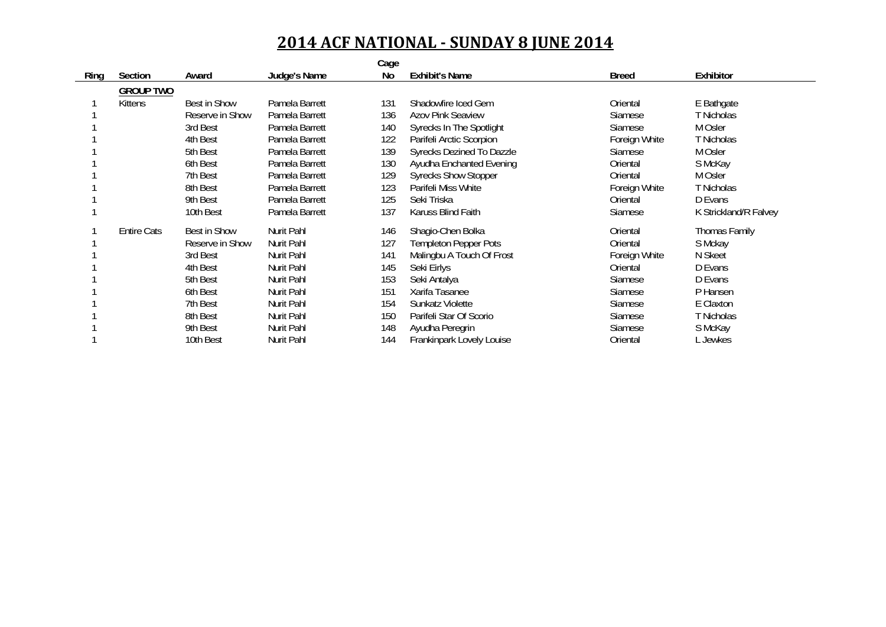|      |                    |                 |                   | Cage |                                 |               |                       |
|------|--------------------|-----------------|-------------------|------|---------------------------------|---------------|-----------------------|
| Ring | Section            | Award           | Judge's Name      | No   | <b>Exhibit's Name</b>           | <b>Breed</b>  | Exhibitor             |
|      | <b>GROUP TWO</b>   |                 |                   |      |                                 |               |                       |
|      | Kittens            | Best in Show    | Pamela Barrett    | 131  | Shadowfire Iced Gem             | Oriental      | E Bathgate            |
|      |                    | Reserve in Show | Pamela Barrett    | 136  | <b>Azov Pink Seaview</b>        | Siamese       | T Nicholas            |
|      |                    | 3rd Best        | Pamela Barrett    | 140  | <b>Syrecks In The Spotlight</b> | Siamese       | M Osler               |
|      |                    | 4th Best        | Pamela Barrett    | 122  | Parifeli Arctic Scorpion        | Foreign White | T Nicholas            |
|      |                    | 5th Best        | Pamela Barrett    | 139  | Syrecks Dezined To Dazzle       | Siamese       | M Osler               |
|      |                    | 6th Best        | Pamela Barrett    | 130  | Ayudha Enchanted Evening        | Oriental      | S McKay               |
|      |                    | 7th Best        | Pamela Barrett    | 129  | <b>Syrecks Show Stopper</b>     | Oriental      | M Osler               |
|      |                    | 8th Best        | Pamela Barrett    | 123  | Parifeli Miss White             | Foreign White | T Nicholas            |
|      |                    | 9th Best        | Pamela Barrett    | 125  | Seki Triska                     | Oriental      | D Evans               |
|      |                    | 10th Best       | Pamela Barrett    | 137  | Karuss Blind Faith              | Siamese       | K Strickland/R Falvey |
|      | <b>Entire Cats</b> | Best in Show    | <b>Nurit Pahl</b> | 146  | Shagio-Chen Bolka               | Oriental      | Thomas Family         |
|      |                    | Reserve in Show | Nurit Pahl        | 127  | <b>Templeton Pepper Pots</b>    | Oriental      | S Mckay               |
|      |                    | 3rd Best        | Nurit Pahl        | 141  | Malingbu A Touch Of Frost       | Foreign White | N Skeet               |
|      |                    | 4th Best        | Nurit Pahl        | 145  | Seki Eirlys                     | Oriental      | D Evans               |
|      |                    | 5th Best        | Nurit Pahl        | 153  | Seki Antalya                    | Siamese       | D Evans               |
|      |                    | 6th Best        | Nurit Pahl        | 151  | Xarifa Tasanee                  | Siamese       | P Hansen              |
|      |                    | 7th Best        | Nurit Pahl        | 154  | Sunkatz Violette                | Siamese       | E Claxton             |
|      |                    | 8th Best        | Nurit Pahl        | 150  | Parifeli Star Of Scorio         | Siamese       | T Nicholas            |
|      |                    | 9th Best        | Nurit Pahl        | 148  | Ayudha Peregrin                 | Siamese       | S McKay               |
|      |                    | 10th Best       | Nurit Pahl        | 144  | Frankinpark Lovely Louise       | Oriental      | L Jewkes              |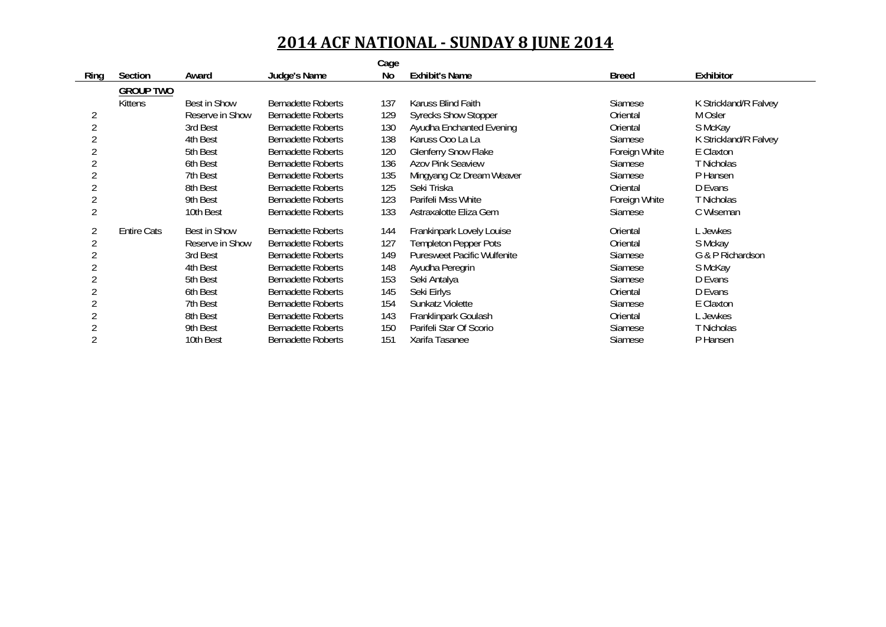|                |                    |                     |                           | Cage |                                    |                |                       |
|----------------|--------------------|---------------------|---------------------------|------|------------------------------------|----------------|-----------------------|
| Ring           | Section            | Award               | Judge's Name              | No   | <b>Exhibit's Name</b>              | <b>Breed</b>   | Exhibitor             |
|                | <b>GROUP TWO</b>   |                     |                           |      |                                    |                |                       |
|                | <b>Kittens</b>     | Best in Show        | <b>Bernadette Roberts</b> | 137  | Karuss Blind Faith                 | <b>Siamese</b> | K Strickland/R Falvey |
| 2              |                    | Reserve in Show     | <b>Bernadette Roberts</b> | 129  | <b>Syrecks Show Stopper</b>        | Oriental       | M Osler               |
| $\overline{2}$ |                    | 3rd Best            | <b>Bernadette Roberts</b> | 130  | Ayudha Enchanted Evening           | Oriental       | S McKay               |
|                |                    | 4th Best            | <b>Bernadette Roberts</b> | 138  | Karuss Ooo La La                   | <b>Siamese</b> | K Strickland/R Falvey |
|                |                    | 5th Best            | <b>Bernadette Roberts</b> | 120  | <b>Glenferry Snow Flake</b>        | Foreign White  | E Claxton             |
|                |                    | 6th Best            | <b>Bernadette Roberts</b> | 136  | <b>Azov Pink Seaview</b>           | <b>Siamese</b> | T Nicholas            |
|                |                    | 7th Best            | <b>Bernadette Roberts</b> | 135  | Mingyang Oz Dream Weaver           | Siamese        | P Hansen              |
|                |                    | 8th Best            | <b>Bernadette Roberts</b> | 125  | Seki Triska                        | Oriental       | D Evans               |
|                |                    | 9th Best            | <b>Bernadette Roberts</b> | 123  | Parifeli Miss White                | Foreign White  | T Nicholas            |
|                |                    | 10th Best           | <b>Bernadette Roberts</b> | 133  | Astraxalotte Eliza Gem             | Siamese        | C Wiseman             |
|                | <b>Entire Cats</b> | <b>Best in Show</b> | Bernadette Roberts        | 144  | Frankinpark Lovely Louise          | Oriental       | L Jewkes              |
|                |                    | Reserve in Show     | <b>Bernadette Roberts</b> | 127  | <b>Templeton Pepper Pots</b>       | Oriental       | S Mckay               |
|                |                    | 3rd Best            | <b>Bernadette Roberts</b> | 149  | <b>Puresweet Pacific Wulfenite</b> | <b>Siamese</b> | G & P Richardson      |
|                |                    | 4th Best            | <b>Bernadette Roberts</b> | 148  | Ayudha Peregrin                    | Siamese        | S McKay               |
|                |                    | 5th Best            | <b>Bernadette Roberts</b> | 153  | Seki Antalya                       | Siamese        | D Evans               |
|                |                    | 6th Best            | <b>Bernadette Roberts</b> | 145  | Seki Eirlys                        | Oriental       | D Evans               |
|                |                    | 7th Best            | <b>Bernadette Roberts</b> | 154  | Sunkatz Violette                   | <b>Siamese</b> | E Claxton             |
|                |                    | 8th Best            | <b>Bernadette Roberts</b> | 143  | Franklinpark Goulash               | Oriental       | L Jewkes              |
|                |                    | 9th Best            | <b>Bernadette Roberts</b> | 150  | Parifeli Star Of Scorio            | Siamese        | T Nicholas            |
|                |                    | 10th Best           | <b>Bernadette Roberts</b> | 151  | Xarifa Tasanee                     | Siamese        | P Hansen              |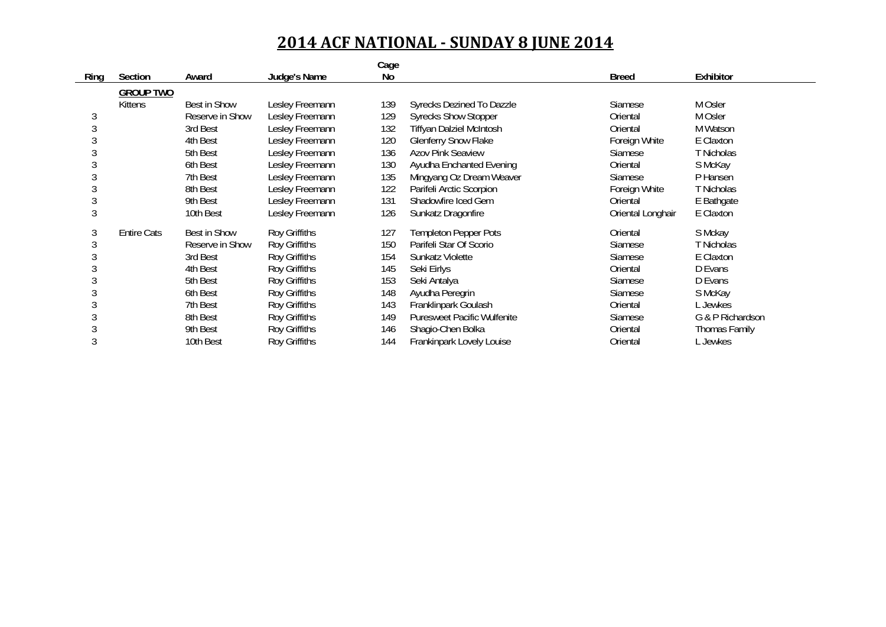|      |                    |                 |                 | Cage |                                    |                   |                  |
|------|--------------------|-----------------|-----------------|------|------------------------------------|-------------------|------------------|
| Ring | Section            | Award           | Judge's Name    | No   |                                    | <b>Breed</b>      | Exhibitor        |
|      | <b>GROUP TWO</b>   |                 |                 |      |                                    |                   |                  |
|      | Kittens            | Best in Show    | Lesley Freemann | 139  | Syrecks Dezined To Dazzle          | Siamese           | M Osler          |
| 3    |                    | Reserve in Show | Lesley Freemann | 129  | <b>Syrecks Show Stopper</b>        | Oriental          | M Osler          |
| 3    |                    | 3rd Best        | Lesley Freemann | 132  | <b>Tiffyan Dalziel McIntosh</b>    | Oriental          | M Watson         |
|      |                    | 4th Best        | Lesley Freemann | 120  | <b>Glenferry Snow Flake</b>        | Foreign White     | E Claxton        |
|      |                    | 5th Best        | Lesley Freemann | 136  | <b>Azov Pink Seaview</b>           | Siamese           | T Nicholas       |
|      |                    | 6th Best        | Lesley Freemann | 130  | Ayudha Enchanted Evening           | Oriental          | S McKay          |
|      |                    | 7th Best        | Lesley Freemann | 135  | Mingyang Oz Dream Weaver           | <b>Siamese</b>    | P Hansen         |
|      |                    | 8th Best        | Lesley Freemann | 122  | Parifeli Arctic Scorpion           | Foreign White     | T Nicholas       |
| 3    |                    | 9th Best        | Lesley Freemann | 131  | Shadowfire Iced Gem                | Oriental          | E Bathgate       |
| 3    |                    | 10th Best       | Lesley Freemann | 126  | Sunkatz Dragonfire                 | Oriental Longhair | E Claxton        |
| 3    | <b>Entire Cats</b> | Best in Show    | Roy Griffiths   | 127  | <b>Templeton Pepper Pots</b>       | Oriental          | S Mckay          |
| 3    |                    | Reserve in Show | Roy Griffiths   | 150  | Parifeli Star Of Scorio            | Siamese           | T Nicholas       |
|      |                    | 3rd Best        | Roy Griffiths   | 154  | Sunkatz Violette                   | Siamese           | E Claxton        |
|      |                    | 4th Best        | Roy Griffiths   | 145  | Seki Eirlys                        | Oriental          | D Evans          |
|      |                    | 5th Best        | Roy Griffiths   | 153  | Seki Antalya                       | Siamese           | D Evans          |
|      |                    | 6th Best        | Roy Griffiths   | 148  | Ayudha Peregrin                    | <b>Siamese</b>    | S McKay          |
|      |                    | 7th Best        | Roy Griffiths   | 143  | Franklinpark Goulash               | Oriental          | L Jewkes         |
|      |                    | 8th Best        | Roy Griffiths   | 149  | <b>Puresweet Pacific Wulfenite</b> | <b>Siamese</b>    | G & P Richardson |
|      |                    | 9th Best        | Roy Griffiths   | 146  | Shaqio-Chen Bolka                  | Oriental          | Thomas Family    |
|      |                    | 10th Best       | Roy Griffiths   | 144  | Frankinpark Lovely Louise          | Oriental          | L Jewkes         |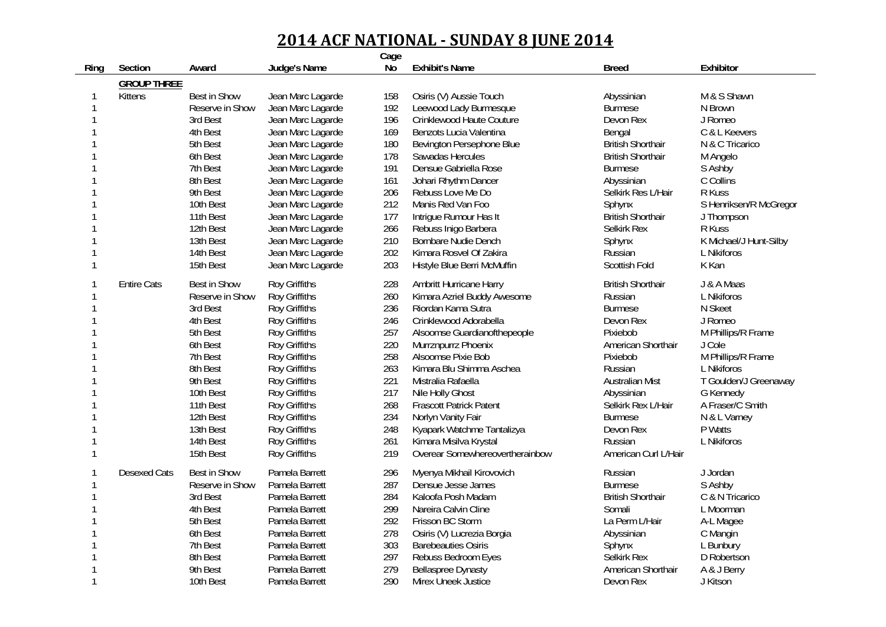|              |                     |                     |                                  | Cage |                                                          |                              |                          |
|--------------|---------------------|---------------------|----------------------------------|------|----------------------------------------------------------|------------------------------|--------------------------|
| Ring         | Section             | Award               | Judge's Name                     | No   | <b>Exhibit's Name</b>                                    | <b>Breed</b>                 | Exhibitor                |
|              | <b>GROUP THREE</b>  |                     |                                  |      |                                                          |                              |                          |
| -1           | <b>Kittens</b>      | Best in Show        | Jean Marc Lagarde                | 158  | Osiris (V) Aussie Touch                                  | Abyssinian                   | M & S Shawn              |
| 1            |                     | Reserve in Show     | Jean Marc Lagarde                | 192  | Leewood Lady Burmesque                                   | <b>Burmese</b>               | N Brown                  |
|              |                     | 3rd Best            | Jean Marc Lagarde                | 196  | Crinklewood Haute Couture                                | Devon Rex                    | J Romeo                  |
|              |                     | 4th Best            | Jean Marc Lagarde                | 169  | Benzots Lucia Valentina                                  | Bengal                       | C & L Keevers            |
|              |                     | 5th Best            | Jean Marc Lagarde                | 180  | Bevington Persephone Blue                                | <b>British Shorthair</b>     | N & C Tricarico          |
|              |                     | 6th Best            | Jean Marc Lagarde                | 178  | Sawadas Hercules                                         | <b>British Shorthair</b>     | M Angelo                 |
|              |                     | 7th Best            | Jean Marc Lagarde                | 191  | Densue Gabriella Rose                                    | <b>Burmese</b>               | S Ashby                  |
|              |                     | 8th Best            | Jean Marc Lagarde                | 161  | Johari Rhythm Dancer                                     | Abyssinian                   | C Collins                |
|              |                     | 9th Best            | Jean Marc Lagarde                | 206  | Rebuss Love Me Do                                        | Selkirk Res L/Hair           | R Kuss                   |
|              |                     | 10th Best           | Jean Marc Lagarde                | 212  | Manis Red Van Foo                                        | Sphynx                       | S Henriksen/R McGregor   |
|              |                     | 11th Best           | Jean Marc Lagarde                | 177  | Intrigue Rumour Has It                                   | <b>British Shorthair</b>     | J Thompson               |
|              |                     | 12th Best           | Jean Marc Lagarde                | 266  | Rebuss Inigo Barbera                                     | Selkirk Rex                  | R Kuss                   |
|              |                     | 13th Best           | Jean Marc Lagarde                | 210  | Bornbare Nudie Dench                                     | Sphynx                       | K Michael/J Hunt-Silby   |
|              |                     | 14th Best           | Jean Marc Lagarde                | 202  | Kimara Rosvel Of Zakira                                  | Russian                      | L Nikiforos              |
| $\mathbf{1}$ |                     | 15th Best           | Jean Marc Lagarde                | 203  | Histyle Blue Berri McMuffin                              | Scottish Fold                | K Kan                    |
|              | <b>Entire Cats</b>  | <b>Best in Show</b> | Roy Griffiths                    | 228  | Ambritt Hurricane Harry                                  | <b>British Shorthair</b>     | J & A Maas               |
| $\mathbf{1}$ |                     | Reserve in Show     | <b>Roy Griffiths</b>             | 260  | Kimara Azriel Buddy Awesome                              | Russian                      | L Nikiforos              |
| -1           |                     | 3rd Best            | <b>Roy Griffiths</b>             | 236  | Riordan Kama Sutra                                       | <b>Burmese</b>               | N Skeet                  |
|              |                     | 4th Best            | Roy Griffiths                    | 246  | Crinklewood Adorabella                                   | Devon Rex                    | J Romeo                  |
|              |                     | 5th Best            | Roy Griffiths                    | 257  | Alsoomse Guardianofthepeople                             | Pixiebob                     | M Phillips/R Frame       |
|              |                     | 6th Best            | Roy Griffiths                    | 220  | Murrznpurrz Phoenix                                      | American Shorthair           | J Cole                   |
|              |                     | 7th Best            | Roy Griffiths                    | 258  | Alsoomse Pixie Bob                                       | Pixiebob                     | M Phillips/R Frame       |
|              |                     | 8th Best            | Roy Griffiths                    | 263  | Kimara Blu Shimma Aschea                                 | Russian                      | L Nikiforos              |
|              |                     | 9th Best            | Roy Griffiths                    | 221  | Mistralia Rafaella                                       | <b>Australian Mist</b>       | T Goulden/J Greenaway    |
|              |                     | 10th Best           | Roy Griffiths                    | 217  | Nile Holly Ghost                                         | Abyssinian                   | G Kennedy                |
|              |                     | 11th Best           | Roy Griffiths                    | 268  | <b>Frascott Patrick Patent</b>                           | Selkirk Rex L/Hair           | A Fraser/C Smith         |
|              |                     | 12th Best           | Roy Griffiths                    | 234  | Norlyn Vanity Fair                                       | <b>Burmese</b>               | N & L Varney             |
|              |                     | 13th Best           | Roy Griffiths                    | 248  | Kyapark Watchme Tantalizya                               | Devon Rex                    | P Watts                  |
|              |                     | 14th Best           | Roy Griffiths                    | 261  | Kimara Misilva Krystal                                   | Russian                      | L Nikiforos              |
| -1           |                     | 15th Best           | Roy Griffiths                    | 219  | Overear Somewhereovertherainbow                          | American Curl L/Hair         |                          |
|              | <b>Desexed Cats</b> | Best in Show        | Pamela Barrett                   | 296  | Myenya Mikhail Kirovovich                                | Russian                      | J Jordan                 |
| -1           |                     | Reserve in Show     | Pamela Barrett                   | 287  | Densue Jesse James                                       | <b>Burmese</b>               | S Ashby                  |
|              |                     | 3rd Best            | Pamela Barrett                   | 284  | Kaloofa Posh Madam                                       | <b>British Shorthair</b>     | C & N Tricarico          |
|              |                     | 4th Best            | Pamela Barrett                   | 299  | Nareira Calvin Cline                                     | Somali                       |                          |
|              |                     | 5th Best            | Pamela Barrett                   | 292  | Frisson BC Storm                                         | La Perm L/Hair               | L Moorman                |
|              |                     | 6th Best            |                                  | 278  |                                                          |                              | A-L Magee                |
|              |                     | 7th Best            | Pamela Barrett<br>Pamela Barrett | 303  | Osiris (V) Lucrezia Borgia<br><b>Barebeauties Osiris</b> | Abyssinian                   | C Mangin                 |
|              |                     | 8th Best            | Pamela Barrett                   | 297  |                                                          | Sphynx<br><b>Selkirk Rex</b> | L Bunbury<br>D Robertson |
|              |                     |                     |                                  |      | Rebuss Bedroom Eyes                                      |                              |                          |
| $\mathbf{1}$ |                     | 9th Best            | Pamela Barrett                   | 279  | <b>Bellaspree Dynasty</b>                                | American Shorthair           | A & J Berry              |
|              |                     | 10th Best           | Pamela Barrett                   | 290  | Mirex Uneek Justice                                      | Devon Rex                    | J Kitson                 |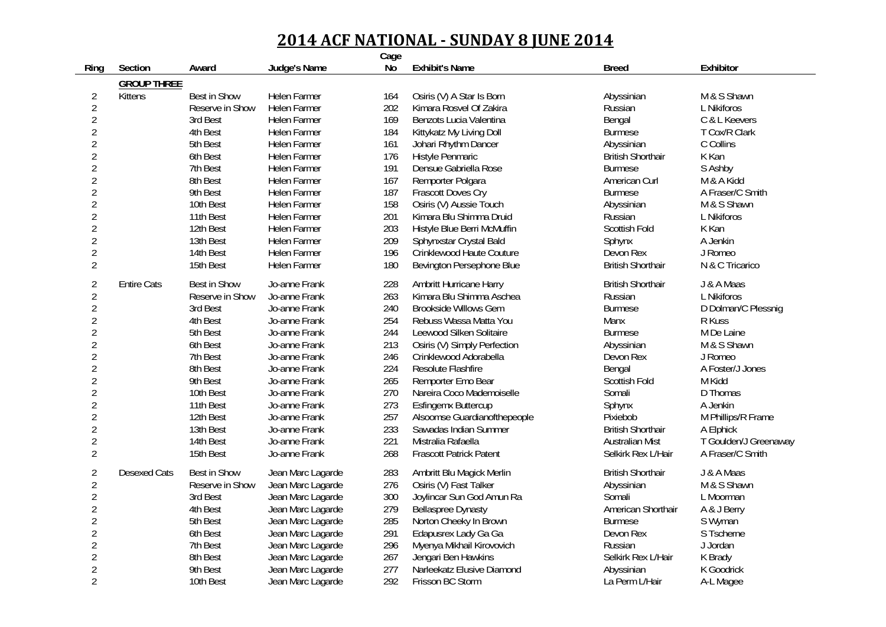|                |                     |                     |                     | Cage |                                |                          |                       |
|----------------|---------------------|---------------------|---------------------|------|--------------------------------|--------------------------|-----------------------|
| Ring           | Section             | Award               | Judge's Name        | No   | <b>Exhibit's Name</b>          | <b>Breed</b>             | Exhibitor             |
|                | <b>GROUP THREE</b>  |                     |                     |      |                                |                          |                       |
| $\overline{2}$ | <b>Kittens</b>      | <b>Best in Show</b> | <b>Helen Farmer</b> | 164  | Osiris (V) A Star Is Born      | Abyssinian               | M & S Shawn           |
| $\overline{2}$ |                     | Reserve in Show     | <b>Helen Farmer</b> | 202  | Kimara Rosvel Of Zakira        | Russian                  | L Nikiforos           |
| $\overline{2}$ |                     | 3rd Best            | <b>Helen Farmer</b> | 169  | Benzots Lucia Valentina        | Bengal                   | C & L Keevers         |
| $\overline{2}$ |                     | 4th Best            | <b>Helen Farmer</b> | 184  | Kittykatz My Living Doll       | <b>Burmese</b>           | T Cox/R Clark         |
| $\overline{2}$ |                     | 5th Best            | Helen Farmer        | 161  | Johari Rhythm Dancer           | Abyssinian               | C Collins             |
| $\overline{2}$ |                     | 6th Best            | <b>Helen Farmer</b> | 176  | Histyle Penmaric               | <b>British Shorthair</b> | K Kan                 |
| $\overline{2}$ |                     | 7th Best            | Helen Farmer        | 191  | Densue Gabriella Rose          | <b>Burmese</b>           | S Ashby               |
| $\overline{2}$ |                     | 8th Best            | <b>Helen Farmer</b> | 167  | Remporter Polgara              | American Curl            | M & A Kidd            |
| $\overline{2}$ |                     | 9th Best            | <b>Helen Farmer</b> | 187  | Frascott Doves Cry             | <b>Burmese</b>           | A Fraser/C Smith      |
| $\overline{2}$ |                     | 10th Best           | <b>Helen Farmer</b> | 158  | Osiris (V) Aussie Touch        | Abyssinian               | M & S Shawn           |
| $\overline{2}$ |                     | 11th Best           | <b>Helen Farmer</b> | 201  | Kimara Blu Shimma Druid        | Russian                  | L Nikiforos           |
| $\overline{2}$ |                     | 12th Best           | <b>Helen Farmer</b> | 203  | Histyle Blue Berri McMuffin    | Scottish Fold            | K Kan                 |
| $\overline{2}$ |                     | 13th Best           | <b>Helen Farmer</b> | 209  | Sphynxstar Crystal Bald        | Sphynx                   | A Jenkin              |
| $\overline{2}$ |                     | 14th Best           | <b>Helen Farmer</b> | 196  | Crinklewood Haute Couture      | Devon Rex                | J Romeo               |
| $\overline{2}$ |                     | 15th Best           | Helen Farmer        | 180  | Bevington Persephone Blue      | <b>British Shorthair</b> | N & C Tricarico       |
|                |                     |                     |                     |      |                                |                          |                       |
| $\overline{2}$ | <b>Entire Cats</b>  | <b>Best in Show</b> | Jo-anne Frank       | 228  | Ambritt Hurricane Harry        | <b>British Shorthair</b> | J & A Maas            |
| $\overline{2}$ |                     | Reserve in Show     | Jo-anne Frank       | 263  | Kimara Blu Shimma Aschea       | Russian                  | L Nikiforos           |
| $\overline{2}$ |                     | 3rd Best            | Jo-anne Frank       | 240  | <b>Brookside Willows Gem</b>   | <b>Burmese</b>           | D Dolman/C Plessnig   |
| $\overline{2}$ |                     | 4th Best            | Jo-anne Frank       | 254  | Rebuss Wassa Matta You         | Manx                     | R Kuss                |
| $\overline{2}$ |                     | 5th Best            | Jo-anne Frank       | 244  | Leewood Silken Solitaire       | <b>Burmese</b>           | M De Laine            |
| $\overline{2}$ |                     | 6th Best            | Jo-anne Frank       | 213  | Osiris (V) Simply Perfection   | Abyssinian               | M & S Shawn           |
| $\overline{2}$ |                     | 7th Best            | Jo-anne Frank       | 246  | Crinklewood Adorabella         | Devon Rex                | J Romeo               |
| $\overline{2}$ |                     | 8th Best            | Jo-anne Frank       | 224  | Resolute Flashfire             | Bengal                   | A Foster/J Jones      |
| $\overline{2}$ |                     | 9th Best            | Jo-anne Frank       | 265  | Remporter Emo Bear             | Scottish Fold            | M Kidd                |
| $\overline{2}$ |                     | 10th Best           | Jo-anne Frank       | 270  | Nareira Coco Mademoiselle      | Somali                   | D Thomas              |
| $\overline{2}$ |                     | 11th Best           | Jo-anne Frank       | 273  | <b>Esfingemx Buttercup</b>     | Sphynx                   | A Jenkin              |
| $\overline{2}$ |                     | 12th Best           | Jo-anne Frank       | 257  | Alsoomse Guardianofthepeople   | Pixiebob                 | M Phillips/R Frame    |
| $\overline{2}$ |                     | 13th Best           | Jo-anne Frank       | 233  | Sawadas Indian Summer          | <b>British Shorthair</b> | A Elphick             |
| $\overline{2}$ |                     | 14th Best           | Jo-anne Frank       | 221  | Mistralia Rafaella             | <b>Australian Mist</b>   | T Goulden/J Greenaway |
| $\overline{2}$ |                     | 15th Best           | Jo-anne Frank       | 268  | <b>Frascott Patrick Patent</b> | Selkirk Rex L/Hair       | A Fraser/C Smith      |
| $\overline{2}$ | <b>Desexed Cats</b> | <b>Best in Show</b> | Jean Marc Lagarde   | 283  | Ambritt Blu Magick Merlin      | <b>British Shorthair</b> | J & A Maas            |
| $\overline{2}$ |                     | Reserve in Show     | Jean Marc Lagarde   | 276  | Osiris (V) Fast Talker         | Abyssinian               | M & S Shawn           |
| $\overline{2}$ |                     | 3rd Best            | Jean Marc Lagarde   | 300  | Joylincar Sun God Amun Ra      | Somali                   | L Moorman             |
| $\overline{2}$ |                     | 4th Best            | Jean Marc Lagarde   | 279  | <b>Bellaspree Dynasty</b>      | American Shorthair       | A & J Berry           |
| $\overline{2}$ |                     | 5th Best            | Jean Marc Lagarde   | 285  | Norton Cheeky In Brown         | <b>Burmese</b>           | S Wyman               |
| $\overline{2}$ |                     | 6th Best            | Jean Marc Lagarde   | 291  | Edapusrex Lady Ga Ga           | Devon Rex                | S Tscherne            |
| $\overline{2}$ |                     | 7th Best            | Jean Marc Lagarde   | 296  | Myenya Mikhail Kirovovich      | Russian                  | J Jordan              |
| $\overline{2}$ |                     | 8th Best            | Jean Marc Lagarde   | 267  | Jengari Ben Hawkins            | Selkirk Rex L/Hair       | K Brady               |
| $\overline{2}$ |                     | 9th Best            | Jean Marc Lagarde   | 277  | Narleekatz Elusive Diamond     | Abyssinian               | K Goodrick            |
| $\overline{2}$ |                     | 10th Best           | Jean Marc Lagarde   | 292  | Frisson BC Storm               | La Perm L/Hair           | A-L Magee             |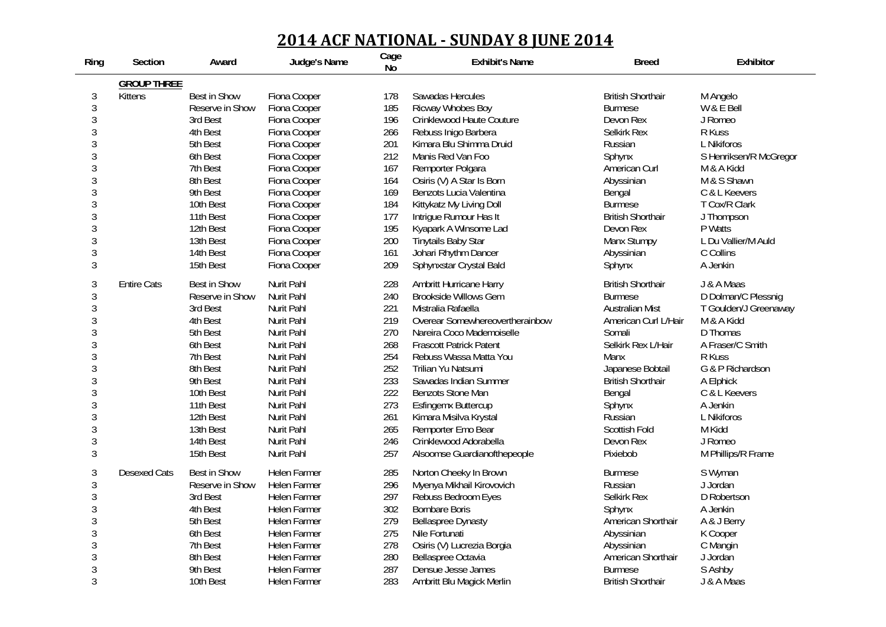| Ring           | Section             | Award           | Judge's Name        | Cage<br>No | <b>Exhibit's Name</b>           | <b>Breed</b>             | Exhibitor              |
|----------------|---------------------|-----------------|---------------------|------------|---------------------------------|--------------------------|------------------------|
|                | <b>GROUP THREE</b>  |                 |                     |            |                                 |                          |                        |
| $\sqrt{3}$     | <b>Kittens</b>      | Best in Show    | Fiona Cooper        | 178        | Sawadas Hercules                | <b>British Shorthair</b> | M Angelo               |
| $\mathfrak{Z}$ |                     | Reserve in Show | Fiona Cooper        | 185        | Ricway Whobes Boy               | <b>Burmese</b>           | W & E Bell             |
| $\mathfrak{Z}$ |                     | 3rd Best        | Fiona Cooper        | 196        | Crinklewood Haute Couture       | Devon Rex                | J Romeo                |
| 3              |                     | 4th Best        | Fiona Cooper        | 266        | Rebuss Inigo Barbera            | <b>Selkirk Rex</b>       | R Kuss                 |
| $\mathfrak{Z}$ |                     | 5th Best        | Fiona Cooper        | 201        | Kimara Blu Shimma Druid         | Russian                  | L Nikiforos            |
| 3              |                     | 6th Best        | Fiona Cooper        | 212        | Manis Red Van Foo               | Sphynx                   | S Henriksen/R McGregor |
| 3              |                     | 7th Best        | Fiona Cooper        | 167        | Remporter Polgara               | American Curl            | M & A Kidd             |
| 3              |                     | 8th Best        | Fiona Cooper        | 164        | Osiris (V) A Star Is Born       | Abyssinian               | M & S Shawn            |
| 3              |                     | 9th Best        | Fiona Cooper        | 169        | Benzots Lucia Valentina         | Bengal                   | C & L Keevers          |
| 3              |                     | 10th Best       | Fiona Cooper        | 184        | Kittykatz My Living Doll        | <b>Burmese</b>           | T Cox/R Clark          |
| $\mathfrak{Z}$ |                     | 11th Best       | Fiona Cooper        | 177        | Intrigue Rumour Has It          | <b>British Shorthair</b> | J Thompson             |
| 3              |                     | 12th Best       | Fiona Cooper        | 195        | Kyapark A Winsome Lad           | Devon Rex                | P Watts                |
| 3              |                     | 13th Best       | Fiona Cooper        | 200        | <b>Tinytails Baby Star</b>      | Manx Stumpy              | L Du Vallier/M Auld    |
| 3              |                     | 14th Best       | Fiona Cooper        | 161        | Johari Rhythm Dancer            | Abyssinian               | C Collins              |
| 3              |                     | 15th Best       | Fiona Cooper        | 209        | Sphynxstar Crystal Bald         | Sphynx                   | A Jenkin               |
| $\sqrt{3}$     | <b>Entire Cats</b>  | Best in Show    | Nurit Pahl          | 228        | Ambritt Hurricane Harry         | <b>British Shorthair</b> | J & A Maas             |
| 3              |                     | Reserve in Show | Nurit Pahl          | 240        | <b>Brookside Willows Gem</b>    | <b>Burmese</b>           | D Dolman/C Plessnig    |
| $\mathfrak{Z}$ |                     | 3rd Best        | Nurit Pahl          | 221        | Mistralia Rafaella              | <b>Australian Mist</b>   | T Goulden/J Greenaway  |
| 3              |                     | 4th Best        | Nurit Pahl          | 219        | Overear Somewhereovertherainbow | American Curl L/Hair     | M & A Kidd             |
| 3              |                     | 5th Best        | Nurit Pahl          | 270        | Nareira Coco Mademoiselle       | Somali                   | D Thomas               |
| 3              |                     | 6th Best        | Nurit Pahl          | 268        | <b>Frascott Patrick Patent</b>  | Selkirk Rex L/Hair       | A Fraser/C Smith       |
| 3              |                     | 7th Best        | Nurit Pahl          | 254        | Rebuss Wassa Matta You          | Manx                     | R Kuss                 |
| 3              |                     | 8th Best        | Nurit Pahl          | 252        | Trilian Yu Natsumi              | Japanese Bobtail         | G & P Richardson       |
| $\mathfrak{Z}$ |                     | 9th Best        | Nurit Pahl          | 233        | Sawadas Indian Summer           | <b>British Shorthair</b> | A Elphick              |
| 3              |                     | 10th Best       | Nurit Pahl          | 222        | Benzots Stone Man               | Bengal                   | C & L Keevers          |
| 3              |                     | 11th Best       | Nurit Pahl          | 273        | <b>Esfingemx Buttercup</b>      | Sphynx                   | A Jenkin               |
| 3              |                     | 12th Best       | Nurit Pahl          | 261        | Kimara Misilva Krystal          | Russian                  | L Nikiforos            |
| $\mathfrak{Z}$ |                     | 13th Best       | Nurit Pahl          | 265        | Remporter Emo Bear              | Scottish Fold            | M Kidd                 |
| 3              |                     | 14th Best       | Nurit Pahl          | 246        | Crinklewood Adorabella          | Devon Rex                | J Romeo                |
| 3              |                     | 15th Best       | Nurit Pahl          | 257        | Alsoomse Guardianofthepeople    | Pixiebob                 | M Phillips/R Frame     |
| $\sqrt{3}$     | <b>Desexed Cats</b> | Best in Show    | <b>Helen Farmer</b> | 285        | Norton Cheeky In Brown          | <b>Burmese</b>           | S Wyman                |
| $\mathfrak{Z}$ |                     | Reserve in Show | Helen Farmer        | 296        | Myenya Mikhail Kirovovich       | Russian                  | J Jordan               |
| 3              |                     | 3rd Best        | <b>Helen Farmer</b> | 297        | Rebuss Bedroom Eyes             | <b>Selkirk Rex</b>       | D Robertson            |
| 3              |                     | 4th Best        | <b>Helen Farmer</b> | 302        | <b>Bornbare Boris</b>           | Sphynx                   | A Jenkin               |
| $\mathfrak{Z}$ |                     | 5th Best        | <b>Helen Farmer</b> | 279        | <b>Bellaspree Dynasty</b>       | American Shorthair       | A & J Berry            |
| 3              |                     | 6th Best        | <b>Helen Farmer</b> | 275        | Nile Fortunati                  | Abyssinian               | K Cooper               |
| $\mathfrak{Z}$ |                     | 7th Best        | <b>Helen Farmer</b> | 278        | Osiris (V) Lucrezia Borgia      | Abyssinian               | C Mangin               |
| 3              |                     | 8th Best        | <b>Helen Farmer</b> | 280        | Bellaspree Octavia              | American Shorthair       | J Jordan               |
| 3              |                     | 9th Best        | Helen Farmer        | 287        | Densue Jesse James              | <b>Burmese</b>           | S Ashby                |
| $\overline{3}$ |                     | 10th Best       | Helen Farmer        | 283        | Ambritt Blu Magick Merlin       | <b>British Shorthair</b> | J & A Maas             |